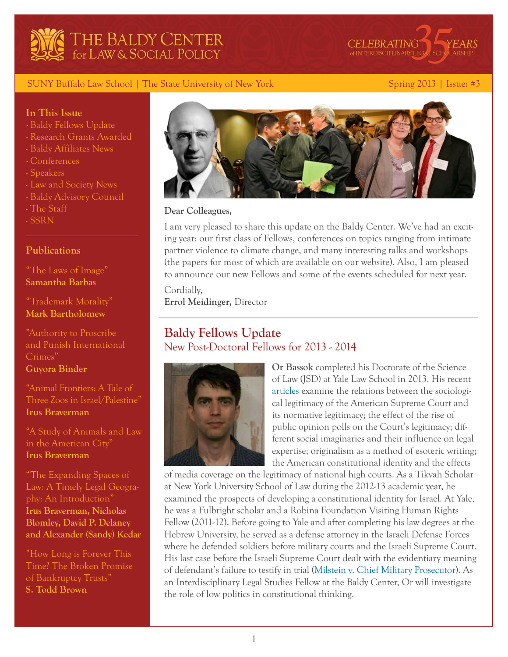



#### SUNY Buffalo Law School | The State University of New York Spring 2013 | Issue: #3

#### **In This Issue**

- Baldy Fellows Update
- Research Grants Awarded
- Baldy Affiliates News
- Conferences
- Speakers
- Law and Society News
- Baldy Advisory Council
- The Staff
- SSRN

#### **Publications**

["The Laws of Image"](http://papers.ssrn.com/sol3/papers.cfm?abstract_id=2183372) **[Samantha Barbas](http://www.law.buffalo.edu/faculty/facultyDirectory/barbasSamantha.html)**

["Trademark Morality"](http://papers.ssrn.com/sol3/papers.cfm?abstract_id=2227106) **[Mark Bartholomew](http://papers.ssrn.com/sol3/cf_dev/AbsByAuth.cfm?per_id=762268)**

["Authority to Proscribe](http://papers.ssrn.com/sol3/papers.cfm?abstract_id=2253547)  [and Punish International](http://papers.ssrn.com/sol3/papers.cfm?abstract_id=2253547)  [Crimes"](http://papers.ssrn.com/sol3/papers.cfm?abstract_id=2253547) **[Guyora Binder](http://papers.ssrn.com/sol3/cf_dev/AbsByAuth.cfm?per_id=71495)**

["Animal Frontiers: A Tale of](http://papers.ssrn.com/sol3/papers.cfm?abstract_id=2245796)  [Three Zoos in Israel/Palestine"](http://papers.ssrn.com/sol3/papers.cfm?abstract_id=2245796) **[Irus Braverman](http://papers.ssrn.com/sol3/papers.cfm?abstract_id=2245796)**

["A Study of Animals and Law](http://papers.ssrn.com/sol3/papers.cfm?abstract_id=2217002)  [in the American City"](http://papers.ssrn.com/sol3/papers.cfm?abstract_id=2217002) **[Irus Braverman](http://papers.ssrn.com/sol3/papers.cfm?abstract_id=2245796)** 

["The Expanding Spaces of](http://papers.ssrn.com/sol3/papers.cfm?abstract_id=2235164)  [Law: A Timely Legal Geogra](http://papers.ssrn.com/sol3/papers.cfm?abstract_id=2235164)[phy: An Introduction"](http://papers.ssrn.com/sol3/papers.cfm?abstract_id=2235164) **[Irus Braverman](http://papers.ssrn.com/sol3/cf_dev/AbsByAuth.cfm?per_id=901085), [Nicholas](http://papers.ssrn.com/sol3/cf_dev/AbsByAuth.cfm?per_id=1348598)  [Blomley](http://papers.ssrn.com/sol3/cf_dev/AbsByAuth.cfm?per_id=1348598), [David P. Delaney](http://papers.ssrn.com/sol3/cf_dev/AbsByAuth.cfm?per_id=2018840) and [Alexander \(Sandy\) Kedar](http://papers.ssrn.com/sol3/cf_dev/AbsByAuth.cfm?per_id=349660)** 

["How Long is Forever This](http://papers.ssrn.com/sol3/papers.cfm?abstract_id=2225519)  [Time? The Broken Promise](http://papers.ssrn.com/sol3/papers.cfm?abstract_id=2225519)  [of Bankruptcy Trusts"](http://papers.ssrn.com/sol3/papers.cfm?abstract_id=2225519) **[S. Todd Brown](http://papers.ssrn.com/sol3/cf_dev/AbsByAuth.cfm?per_id=868241)** 



#### **Dear Colleagues,**

I am very pleased to share this update on the Baldy Center. We've had an exciting year: our first class of Fellows, conferences on topics ranging from intimate partner violence to climate change, and many interesting talks and workshops (the papers for most of which are available on our website). Also, I am pleased to announce our new Fellows and some of the events scheduled for next year.

Cordially, **Errol Meidinger,** Director

# **Baldy Fellows Update** New Post-Doctoral Fellows for 2013 - 2014



**Or Bassok** completed his Doctorate of the Science of Law (JSD) at Yale Law School in 2013. His recent [articles](http://papers.ssrn.com/sol3/cf_dev/AbsByAuth.cfm?per_id=835122) examine the relations between the sociological legitimacy of the American Supreme Court and its normative legitimacy; the effect of the rise of public opinion polls on the Court's legitimacy; different social imaginaries and their influence on legal expertise; originalism as a method of esoteric writing; the American constitutional identity and the effects

of media coverage on the legitimacy of national high courts. As a Tikvah Scholar at New York University School of Law during the 2012-13 academic year, he examined the prospects of developing a constitutional identity for Israel. At Yale, he was a Fulbright scholar and a Robina Foundation Visiting Human Rights Fellow (2011-12). Before going to Yale and after completing his law degrees at the Hebrew University, he served as a defense attorney in the Israeli Defense Forces where he defended soldiers before military courts and the Israeli Supreme Court. His last case before the Israeli Supreme Court dealt with the evidentiary meaning of defendant's failure to testify in trial [\(Milstein v. Chief Military Prosecutor](http://elyon1.court.gov.il/files_eng/04/420/041/o09/04041420.o09.htm)). As an Interdisciplinary Legal Studies Fellow at the Baldy Center, Or will investigate the role of low politics in constitutional thinking.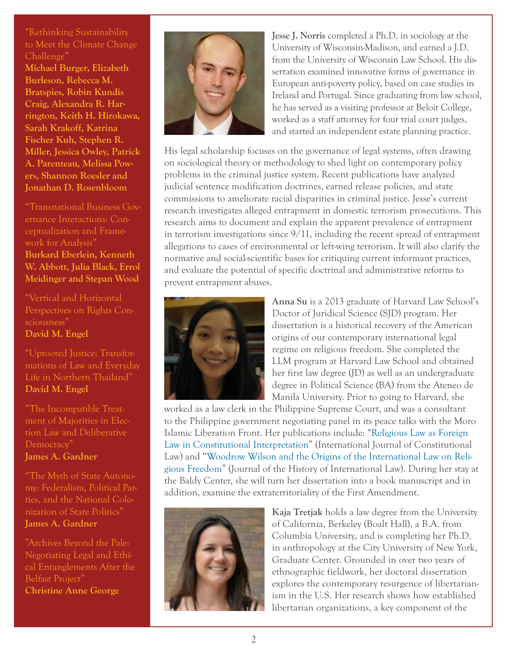["Rethinking Sustainability](http://papers.ssrn.com/sol3/papers.cfm?abstract_id=2189530)  [to Meet the Climate Change](http://papers.ssrn.com/sol3/papers.cfm?abstract_id=2189530)  [Challenge"](http://papers.ssrn.com/sol3/papers.cfm?abstract_id=2189530)

**[Michael Burger,](http://papers.ssrn.com/sol3/cf_dev/AbsByAuth.cfm?per_id=1527210) [Elizabeth](http://papers.ssrn.com/sol3/cf_dev/AbsByAuth.cfm?per_id=666236)  [Burleson](http://papers.ssrn.com/sol3/cf_dev/AbsByAuth.cfm?per_id=666236), [Rebecca M.](http://papers.ssrn.com/sol3/cf_dev/AbsByAuth.cfm?per_id=89185)  [Bratspies](http://papers.ssrn.com/sol3/cf_dev/AbsByAuth.cfm?per_id=89185), [Robin Kundis](http://papers.ssrn.com/sol3/cf_dev/AbsByAuth.cfm?per_id=223637)  [Craig](http://papers.ssrn.com/sol3/cf_dev/AbsByAuth.cfm?per_id=223637), [Alexandra R. Har](http://papers.ssrn.com/sol3/cf_dev/AbsByAuth.cfm?per_id=1154409)[rington](http://papers.ssrn.com/sol3/cf_dev/AbsByAuth.cfm?per_id=1154409), [Keith H. Hirokawa,](http://papers.ssrn.com/sol3/cf_dev/AbsByAuth.cfm?per_id=1302635) [Sarah Krakoff](http://papers.ssrn.com/sol3/cf_dev/AbsByAuth.cfm?per_id=521739), [Katrina](http://papers.ssrn.com/sol3/cf_dev/AbsByAuth.cfm?per_id=826081)  [Fischer Kuh](http://papers.ssrn.com/sol3/cf_dev/AbsByAuth.cfm?per_id=826081), [Stephen R.](http://papers.ssrn.com/sol3/cf_dev/AbsByAuth.cfm?per_id=1475204)  [Miller](http://papers.ssrn.com/sol3/cf_dev/AbsByAuth.cfm?per_id=1475204), [Jessica Owley,](http://papers.ssrn.com/sol3/cf_dev/AbsByAuth.cfm?per_id=859908) [Patrick](http://papers.ssrn.com/sol3/cf_dev/AbsByAuth.cfm?per_id=625081)  [A. Parenteau](http://papers.ssrn.com/sol3/cf_dev/AbsByAuth.cfm?per_id=625081), [Melissa Pow](http://papers.ssrn.com/sol3/cf_dev/AbsByAuth.cfm?per_id=549234)[ers,](http://papers.ssrn.com/sol3/cf_dev/AbsByAuth.cfm?per_id=549234) [Shannon Roesler](http://papers.ssrn.com/sol3/cf_dev/AbsByAuth.cfm?per_id=1133136) and [Jonathan D. Rosenbloom](http://papers.ssrn.com/sol3/cf_dev/AbsByAuth.cfm?per_id=1309604)**

["Transnational Business Gov](http://papers.ssrn.com/sol3/papers.cfm?abstract_id=2152720)[ernance Interactions: Con](http://papers.ssrn.com/sol3/papers.cfm?abstract_id=2152720)[ceptualization and Frame](http://papers.ssrn.com/sol3/papers.cfm?abstract_id=2152720)[work for Analysis"](http://papers.ssrn.com/sol3/papers.cfm?abstract_id=2152720) **[Burkard Eberlein](http://papers.ssrn.com/sol3/cf_dev/AbsByAuth.cfm?per_id=1284014), [Kenneth](http://papers.ssrn.com/sol3/cf_dev/AbsByAuth.cfm?per_id=56060)  [W. Abbott](http://papers.ssrn.com/sol3/cf_dev/AbsByAuth.cfm?per_id=56060), [Julia Black,](http://papers.ssrn.com/sol3/cf_dev/AbsByAuth.cfm?per_id=330049) [Errol](http://papers.ssrn.com/sol3/cf_dev/AbsByAuth.cfm?per_id=209149)  [Meidinger](http://papers.ssrn.com/sol3/cf_dev/AbsByAuth.cfm?per_id=209149) and [Stepan Wood](http://papers.ssrn.com/sol3/cf_dev/AbsByAuth.cfm?per_id=583164)**

["Vertical and Horizontal](http://papers.ssrn.com/sol3/papers.cfm?abstract_id=2231636)  [Perspectives on Rights Con](http://papers.ssrn.com/sol3/papers.cfm?abstract_id=2231636)[sciousness"](http://papers.ssrn.com/sol3/papers.cfm?abstract_id=2231636) **[David M. Engel](http://papers.ssrn.com/sol3/cf_dev/AbsByAuth.cfm?per_id=329545)**

["Uprooted Justice: Transfor](http://papers.ssrn.com/sol3/papers.cfm?abstract_id=2231705)[mations of Law and Everyday](http://papers.ssrn.com/sol3/papers.cfm?abstract_id=2231705)  [Life in Northern Thailand"](http://papers.ssrn.com/sol3/papers.cfm?abstract_id=2231705) **[David M. Engel](http://papers.ssrn.com/sol3/cf_dev/AbsByAuth.cfm?per_id=329545)**

["The Incompatible Treat](http://papers.ssrn.com/sol3/papers.cfm?abstract_id=2252914)[ment of Majorities in Elec](http://papers.ssrn.com/sol3/papers.cfm?abstract_id=2252914)[tion Law and Deliberative](http://papers.ssrn.com/sol3/papers.cfm?abstract_id=2252914)  [Democracy"](http://papers.ssrn.com/sol3/papers.cfm?abstract_id=2252914) **[James A. Gardner](http://papers.ssrn.com/sol3/cf_dev/AbsByAuth.cfm?per_id=40126)**

["The Myth of State Autono](http://papers.ssrn.com/sol3/papers.cfm?abstract_id=2191150)[my: Federalism, Political Par](http://papers.ssrn.com/sol3/papers.cfm?abstract_id=2191150)[ties, and the National Colo](http://papers.ssrn.com/sol3/papers.cfm?abstract_id=2191150)[nization of State Politics"](http://papers.ssrn.com/sol3/papers.cfm?abstract_id=2191150) **[James A. Gardner](http://papers.ssrn.com/sol3/cf_dev/AbsByAuth.cfm?per_id=40126)**

["Archives Beyond the Pale:](http://papers.ssrn.com/sol3/papers.cfm?abstract_id=2236498)  [Negotiating Legal and Ethi](http://papers.ssrn.com/sol3/papers.cfm?abstract_id=2236498)[cal Entanglements After the](http://papers.ssrn.com/sol3/papers.cfm?abstract_id=2236498)  [Belfast Project"](http://papers.ssrn.com/sol3/papers.cfm?abstract_id=2236498) **[Christine Anne George](http://papers.ssrn.com/sol3/cf_dev/AbsByAuth.cfm?per_id=2020476)**



**Jesse J. Norris** completed a Ph.D. in sociology at the University of Wisconsin-Madison, and earned a J.D. from the University of Wisconsin Law School. His dissertation examined innovative forms of governance in European anti-poverty policy, based on case studies in Ireland and Portugal. Since graduating from law school, he has served as a visiting professor at Beloit College, worked as a staff attorney for four trial court judges, and started an independent estate planning practice.

His legal scholarship focuses on the governance of legal systems, often drawing on sociological theory or methodology to shed light on contemporary policy problems in the criminal justice system. Recent publications have analyzed judicial sentence modification doctrines, earned release policies, and state commissions to ameliorate racial disparities in criminal justice. Jesse's current research investigates alleged entrapment in domestic terrorism prosecutions. This research aims to document and explain the apparent prevalence of entrapment in terrorism investigations since  $9/11$ , including the recent spread of entrapment allegations to cases of environmental or left-wing terrorism. It will also clarify the normative and social-scientific bases for critiquing current informant practices, and evaluate the potential of specific doctrinal and administrative reforms to prevent entrapment abuses.



**Anna Su** is a 2013 graduate of Harvard Law School's Doctor of Juridical Science (SJD) program. Her dissertation is a historical recovery of the American origins of our contemporary international legal regime on religious freedom. She completed the LLM program at Harvard Law School and obtained her first law degree (JD) as well as an undergraduate degree in Political Science (BA) from the Ateneo de Manila University. Prior to going to Harvard, she

worked as a law clerk in the Philippine Supreme Court, and was a consultant to the Philippine government negotiating panel in its peace talks with the Moro Islamic Liberation Front. Her publications include: "[Religious Law as Foreign](http://papers.ssrn.com/sol3/papers.cfm?abstract_id=2013551)  [Law in Constitutional Interpretation](http://papers.ssrn.com/sol3/papers.cfm?abstract_id=2013551)" (International Journal of Constitutional Law) and ["Woodrow Wilson and the Origins of the International Law on Reli](https://papers.ssrn.com/sol3/papers.cfm?abstract_id=2214157)[gious Freedom"](https://papers.ssrn.com/sol3/papers.cfm?abstract_id=2214157) (Journal of the History of International Law). During her stay at the Baldy Center, she will turn her dissertation into a book manuscript and in addition, examine the extraterritoriality of the First Amendment.



**Kaja Tretjak** holds a law degree from the University of California, Berkeley (Boalt Hall), a B.A. from Columbia University, and is completing her Ph.D. in anthropology at the City University of New York, Graduate Center. Grounded in over two years of ethnographic fieldwork, her doctoral dissertation explores the contemporary resurgence of libertarianism in the U.S. Her research shows how established libertarian organizations, a key component of the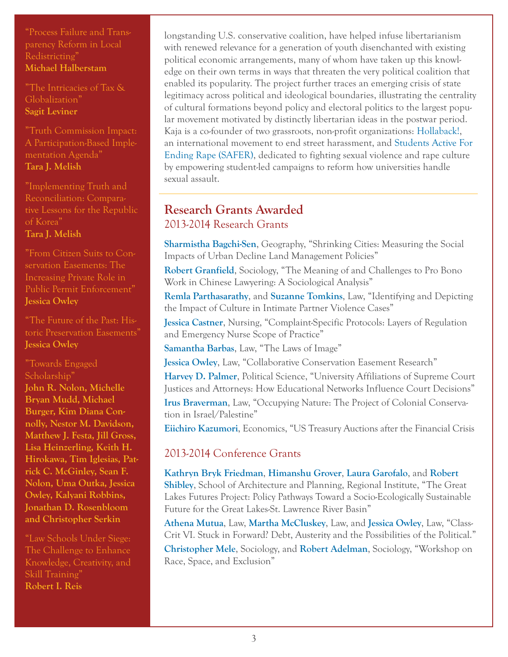["Process Failure and Trans](http://papers.ssrn.com/sol3/papers.cfm?abstract_id=2191674)[parency Reform in Local](http://papers.ssrn.com/sol3/papers.cfm?abstract_id=2191674)  [Redistricting"](http://papers.ssrn.com/sol3/papers.cfm?abstract_id=2191674) **[Michael Halberstam](http://papers.ssrn.com/sol3/cf_dev/AbsByAuth.cfm?per_id=384553)**

["The Intricacies of Tax &](http://papers.ssrn.com/sol3/papers.cfm?abstract_id=2254849)  [Globalization"](http://papers.ssrn.com/sol3/papers.cfm?abstract_id=2254849) **[Sagit Leviner](http://papers.ssrn.com/sol3/cf_dev/AbsByAuth.cfm?per_id=414720)**

["Truth Commission Impact:](http://papers.ssrn.com/sol3/papers.cfm?abstract_id=2253369)  [A Participation-Based Imple](http://papers.ssrn.com/sol3/papers.cfm?abstract_id=2253369)[mentation Agenda"](http://papers.ssrn.com/sol3/papers.cfm?abstract_id=2253369) **[Tara J. Melish](http://papers.ssrn.com/sol3/cf_dev/AbsByAuth.cfm?per_id=339807)**

["Implementing Truth and](http://papers.ssrn.com/sol3/papers.cfm?abstract_id=2253402)  [Reconciliation: Compara](http://papers.ssrn.com/sol3/papers.cfm?abstract_id=2253402)[tive Lessons for the Republic](http://papers.ssrn.com/sol3/papers.cfm?abstract_id=2253402)  [of Korea"](http://papers.ssrn.com/sol3/papers.cfm?abstract_id=2253402)

**[Tara J. Melish](http://papers.ssrn.com/sol3/cf_dev/AbsByAuth.cfm?per_id=339807)**

["From Citizen Suits to Con](http://papers.ssrn.com/sol3/papers.cfm?abstract_id=2243125)[servation Easements: The](http://papers.ssrn.com/sol3/papers.cfm?abstract_id=2243125)  [Increasing Private Role in](http://papers.ssrn.com/sol3/papers.cfm?abstract_id=2243125)  [Public Permit Enforcement"](http://papers.ssrn.com/sol3/papers.cfm?abstract_id=2243125) **[Jessica Owley](http://papers.ssrn.com/sol3/cf_dev/AbsByAuth.cfm?per_id=859908)**

["The Future of the Past: His](http://papers.ssrn.com/sol3/papers.cfm?abstract_id=2186923)[toric Preservation Easements"](http://papers.ssrn.com/sol3/papers.cfm?abstract_id=2186923) **[Jessica Owley](http://papers.ssrn.com/sol3/cf_dev/AbsByAuth.cfm?per_id=859908)**

["Towards Engaged](http://papers.ssrn.com/sol3/papers.cfm?abstract_id=2225283)  [Scholarship"](http://papers.ssrn.com/sol3/papers.cfm?abstract_id=2225283) **[John R. Nolon](http://papers.ssrn.com/sol3/cf_dev/AbsByAuth.cfm?per_id=39877), [Michelle](http://papers.ssrn.com/sol3/cf_dev/AbsByAuth.cfm?per_id=659374)  [Bryan Mudd](http://papers.ssrn.com/sol3/cf_dev/AbsByAuth.cfm?per_id=659374), [Michael](http://papers.ssrn.com/sol3/cf_dev/AbsByAuth.cfm?per_id=1527210)  [Burger](http://papers.ssrn.com/sol3/cf_dev/AbsByAuth.cfm?per_id=1527210), [Kim Diana Con](http://papers.ssrn.com/sol3/cf_dev/AbsByAuth.cfm?per_id=92240)[nolly](http://papers.ssrn.com/sol3/cf_dev/AbsByAuth.cfm?per_id=92240), [Nestor M. Davidson](http://papers.ssrn.com/sol3/cf_dev/AbsByAuth.cfm?per_id=479785), [Matthew J. Festa,](http://papers.ssrn.com/sol3/cf_dev/AbsByAuth.cfm?per_id=658532) [Jill Gross](http://papers.ssrn.com/sol3/cf_dev/AbsByAuth.cfm?per_id=485809), [Lisa Heinzerling,](http://papers.ssrn.com/sol3/cf_dev/AbsByAuth.cfm?per_id=39415) [Keith H.](http://papers.ssrn.com/sol3/cf_dev/AbsByAuth.cfm?per_id=1302635)  [Hirokawa,](http://papers.ssrn.com/sol3/cf_dev/AbsByAuth.cfm?per_id=1302635) [Tim Iglesias](http://papers.ssrn.com/sol3/cf_dev/AbsByAuth.cfm?per_id=332764), [Pat](http://papers.ssrn.com/sol3/cf_dev/AbsByAuth.cfm?per_id=624572)[rick C. McGinley,](http://papers.ssrn.com/sol3/cf_dev/AbsByAuth.cfm?per_id=624572) [Sean F.](http://papers.ssrn.com/sol3/cf_dev/AbsByAuth.cfm?per_id=90968)  [Nolon](http://papers.ssrn.com/sol3/cf_dev/AbsByAuth.cfm?per_id=90968), [Uma Outka,](http://papers.ssrn.com/sol3/cf_dev/AbsByAuth.cfm?per_id=1270460) [Jessica](http://papers.ssrn.com/sol3/cf_dev/AbsByAuth.cfm?per_id=859908)  [Owley](http://papers.ssrn.com/sol3/cf_dev/AbsByAuth.cfm?per_id=859908), [Kalyani Robbins](http://papers.ssrn.com/sol3/cf_dev/AbsByAuth.cfm?per_id=1137733), [Jonathan D. Rosenbloom](http://papers.ssrn.com/sol3/cf_dev/AbsByAuth.cfm?per_id=1309604) and [Christopher Serkin](http://papers.ssrn.com/sol3/cf_dev/AbsByAuth.cfm?per_id=355083)**

["Law Schools Under Siege:](http://papers.ssrn.com/sol3/papers.cfm?abstract_id=2209430)  [The Challenge to Enhance](http://papers.ssrn.com/sol3/papers.cfm?abstract_id=2209430)  [Knowledge, Creativity, and](http://papers.ssrn.com/sol3/papers.cfm?abstract_id=2209430)  [Skill Training"](http://papers.ssrn.com/sol3/papers.cfm?abstract_id=2209430) **[Robert I. Reis](http://papers.ssrn.com/sol3/cf_dev/AbsByAuth.cfm?per_id=538754)**

longstanding U.S. conservative coalition, have helped infuse libertarianism with renewed relevance for a generation of youth disenchanted with existing political economic arrangements, many of whom have taken up this knowledge on their own terms in ways that threaten the very political coalition that enabled its popularity. The project further traces an emerging crisis of state legitimacy across political and ideological boundaries, illustrating the centrality of cultural formations beyond policy and electoral politics to the largest popular movement motivated by distinctly libertarian ideas in the postwar period. Kaja is a co-founder of two grassroots, non-profit organizations: [Hollaback!](http://www.ihollaback.org/), an international movement to end street harassment, and [Students Active For](http://www.safercampus.org/)  [Ending Rape \(SAFER\),](http://www.safercampus.org/) dedicated to fighting sexual violence and rape culture by empowering student-led campaigns to reform how universities handle sexual assault.

# **Research Grants Awarded** 2013-2014 Research Grants

**[Sharmistha Bagchi-Sen](http://www.acsu.buffalo.edu/~geosbs/)**, Geography, "Shrinking Cities: Measuring the Social Impacts of Urban Decline Land Management Policies"

**[Robert Granfield](http://sociology.buffalo.edu/faculty_staff/faculty/granfield/)**, Sociology, "The Meaning of and Challenges to Pro Bono Work in Chinese Lawyering: A Sociological Analysis"

**[Remla Parthasarathy](http://www.law.buffalo.edu/faculty/adjuncts/ParthasarathyRemla.html)**, and **[Suzanne Tomkins](http://www.law.buffalo.edu/faculty/facultyDirectory/TomkinsSuzanne.html)**, Law, "Identifying and Depicting the Impact of Culture in Intimate Partner Violence Cases"

**[Jessica Castner](http://nursing.buffalo.edu/FacultyStaff/FacultyDirectory/JessicaCastner.aspx)**, Nursing, "Complaint-Specific Protocols: Layers of Regulation and Emergency Nurse Scope of Practice"

**[Samantha Barbas](http://www.law.buffalo.edu/faculty/facultyDirectory/barbasSamantha.html)**, Law, "The Laws of Image"

**[Jessica Owley](http://www.law.buffalo.edu/faculty/facultyDirectory/OwleyJessica.html)**, Law, "Collaborative Conservation Easement Research" **[Harvey D. Palmer](http://www.polsci.buffalo.edu/faculty_staff/palmer/index.shtml)**, Political Science, "University Affiliations of Supreme Court Justices and Attorneys: How Educational Networks Influence Court Decisions"

**[Irus Braverman](http://www.acsu.buffalo.edu/~irusb/)**, Law, "Occupying Nature: The Project of Colonial Conservation in Israel/Palestine"

**[Eiichiro Kazumori](http://economics.buffalo.edu/people/faculty/kazumori/)**, Economics, "US Treasury Auctions after the Financial Crisis

# 2013-2014 Conference Grants

**[Kathryn Bryk Friedman](http://www.regional-institute.buffalo.edu/staff_indiv.cfm?StaffID=16)**, **[Himanshu Grover](http://www.buffalo.edu/sustainability/research/faculty-q-a/himanshu-grover.html)**, **[Laura Garofalo](http://ap.buffalo.edu/People/faculty-full.host.html/content/shared/ap/students-faculty-alumni/faculty/laura-garofalo.html)**, and **[Robert](http://ap.buffalo.edu/People/faculty-full.host.html/content/shared/ap/students-faculty-alumni/faculty/robert-shibley.html)  [Shibley](http://ap.buffalo.edu/People/faculty-full.host.html/content/shared/ap/students-faculty-alumni/faculty/robert-shibley.html)**, School of Architecture and Planning, Regional Institute, "The Great Lakes Futures Project: Policy Pathways Toward a Socio-Ecologically Sustainable Future for the Great Lakes-St. Lawrence River Basin"

**[Athena Mutua](http://www.law.buffalo.edu/faculty/facultyDirectory/MutuaAthena.html)**, Law, **[Martha McCluskey](http://www.law.buffalo.edu/faculty/facultyDirectory/McCluskeyMartha.html)**, Law, and **[Jessica Owley](http://www.law.buffalo.edu/faculty/facultyDirectory/OwleyJessica.html)**, Law, "Class-Crit VI. Stuck in Forward? Debt, Austerity and the Possibilities of the Political." **[Christopher Mele](http://sociology.buffalo.edu/faculty_staff/faculty/mele/)**, Sociology, and **[Robert Adelman](http://sociology.buffalo.edu/faculty_staff/faculty/adelman/)**, Sociology, "Workshop on Race, Space, and Exclusion"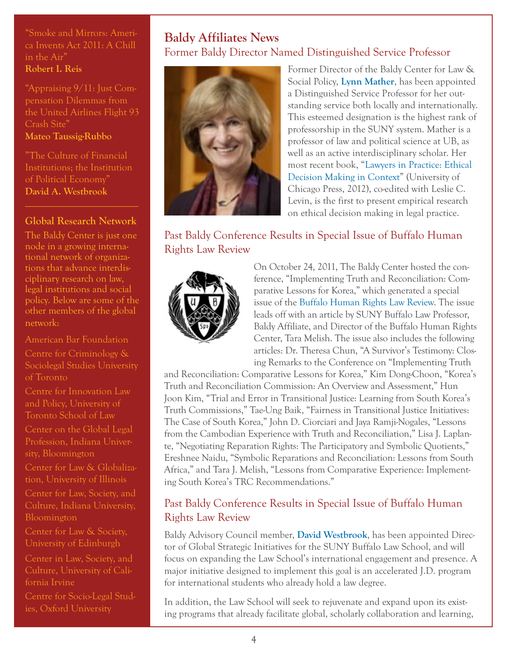["Smoke and Mirrors: Ameri](http://papers.ssrn.com/sol3/papers.cfm?abstract_id=2209427)[ca Invents Act 2011: A Chill](http://papers.ssrn.com/sol3/papers.cfm?abstract_id=2209427)  [in the Air"](http://papers.ssrn.com/sol3/papers.cfm?abstract_id=2209427) **[Robert I. Reis](http://papers.ssrn.com/sol3/cf_dev/AbsByAuth.cfm?per_id=538754)**

["Appraising 9/11: Just Com](http://papers.ssrn.com/sol3/papers.cfm?abstract_id=2213532)[pensation Dilemmas from](http://papers.ssrn.com/sol3/papers.cfm?abstract_id=2213532)  [the United Airlines Flight 93](http://papers.ssrn.com/sol3/papers.cfm?abstract_id=2213532)  [Crash Site"](http://papers.ssrn.com/sol3/papers.cfm?abstract_id=2213532) **[Mateo Taussig-Rubbo](http://papers.ssrn.com/sol3/cf_dev/AbsByAuth.cfm?per_id=692329)**

["The Culture of Financial](http://papers.ssrn.com/sol3/papers.cfm?abstract_id=2248199)  [Institutions; the Institution](http://papers.ssrn.com/sol3/papers.cfm?abstract_id=2248199)  [of Political Economy"](http://papers.ssrn.com/sol3/papers.cfm?abstract_id=2248199) **[David A. Westbrook](http://papers.ssrn.com/sol3/cf_dev/AbsByAuth.cfm?per_id=359288)**

### **Global Research Network**

The Baldy Center is just one node in a growing international network of organizations that advance interdisciplinary research on law, legal institutions and social policy. Below are some of the other members of the global network:

[American Bar Foundation](http://r20.rs6.net/tn.jsp?e=001v850AzwugmiYHmrdddJLtZ42zuu9EJl0Q5HOtwU0h20ipPa3Ljuqqi_uQVUCO9jbD8nunRpgC_NVLktW2lIL14EoBvDhqYtl0DzebsQWolyEExWTvvex1cKCuR-toETpo7uE9ofokrjKFWnreMwW2A==) [Centre for Criminology &](http://www.criminology.utoronto.ca/)  [Sociolegal Studies University](http://www.criminology.utoronto.ca/)  [of Toronto](http://www.criminology.utoronto.ca/)

[Centre for Innovation Law](http://innovationlaw.org/)  [and Policy, University of](http://innovationlaw.org/)  [Toronto School of Law](http://innovationlaw.org/) [Center on the Global Legal](http://globalprofession.law.indiana.edu/)  [Profession, Indiana Univer](http://globalprofession.law.indiana.edu/)[sity, Bloomington](http://globalprofession.law.indiana.edu/) [Center for Law & Globaliza](http://www.lexglobal.org/)[tion, University of Illinois](http://www.lexglobal.org/) [Center for Law, Society, and](http://law.indiana.edu/centers/lawsociety/about.shtml)  [Bloomington](http://law.indiana.edu/centers/lawsociety/about.shtml) [Center for Law & Society,](http://law.indiana.edu/centers/lawsociety/about.shtml) 

[University of Edinburgh](http://law.indiana.edu/centers/lawsociety/about.shtml)

[Center in Law, Society, and](http://clsc.soceco.uci.edu/) 

[Centre for Socio-Legal Stud](http://www.csls.ox.ac.uk/home.php)[ies, Oxford University](http://www.csls.ox.ac.uk/home.php)

# **Baldy Affiliates News** Former Baldy Director Named Distinguished Service Professor



Former Director of the Baldy Center for Law & Social Policy, **[Lynn Mather](http://www.law.buffalo.edu/faculty/facultyDirectory/MatherLynn.html)**, has been appointed a Distinguished Service Professor for her outstanding service both locally and internationally. This esteemed designation is the highest rank of professorship in the SUNY system. Mather is a professor of law and political science at UB, as well as an active interdisciplinary scholar. Her most recent book, ["Lawyers in Practice: Ethical](http://press.uchicago.edu/ucp/books/book/chicago/L/bo12986196.html)  [Decision Making in Context](http://press.uchicago.edu/ucp/books/book/chicago/L/bo12986196.html)" (University of Chicago Press, 2012), co-edited with Leslie C. Levin, is the first to present empirical research on ethical decision making in legal practice.

# Past Baldy Conference Results in Special Issue of Buffalo Human Rights Law Review



On October 24, 2011, The Baldy Center hosted the conference, "Implementing Truth and Reconciliation: Comparative Lessons for Korea," which generated a special issue of the [Buffalo Human Rights Law Review.](http://press.uchicago.edu/ucp/books/book/chicago/L/bo12986196.html) The issue leads off with an article by SUNY Buffalo Law Professor, Baldy Affiliate, and Director of the Buffalo Human Rights Center, Tara Melish. The issue also includes the following articles: Dr. Theresa Chun, "A Survivor's Testimony: Closing Remarks to the Conference on "Implementing Truth

and Reconciliation: Comparative Lessons for Korea," Kim Dong-Choon, "Korea's Truth and Reconciliation Commission: An Overview and Assessment," Hun Joon Kim, "Trial and Error in Transitional Justice: Learning from South Korea's Truth Commissions," Tae-Ung Baik, "Fairness in Transitional Justice Initiatives: The Case of South Korea," John D. Ciorciari and Jaya Ramji-Nogales, "Lessons from the Cambodian Experience with Truth and Reconciliation," Lisa J. Laplante, "Negotiating Reparation Rights: The Participatory and Symbolic Quotients," Ereshnee Naidu, "Symbolic Reparations and Reconciliation: Lessons from South Africa," and Tara J. Melish, "Lessons from Comparative Experience: Implementing South Korea's TRC Recommendations."

# Past Baldy Conference Results in Special Issue of Buffalo Human Rights Law Review

Baldy Advisory Council member, **[David Westbrook](http://www.law.buffalo.edu/faculty/facultyDirectory/WestbrookDavid.html)**, has been appointed Director of Global Strategic Initiatives for the SUNY Buffalo Law School, and will focus on expanding the Law School's international engagement and presence. A major initiative designed to implement this goal is an accelerated J.D. program for international students who already hold a law degree.

In addition, the Law School will seek to rejuvenate and expand upon its existing programs that already facilitate global, scholarly collaboration and learning,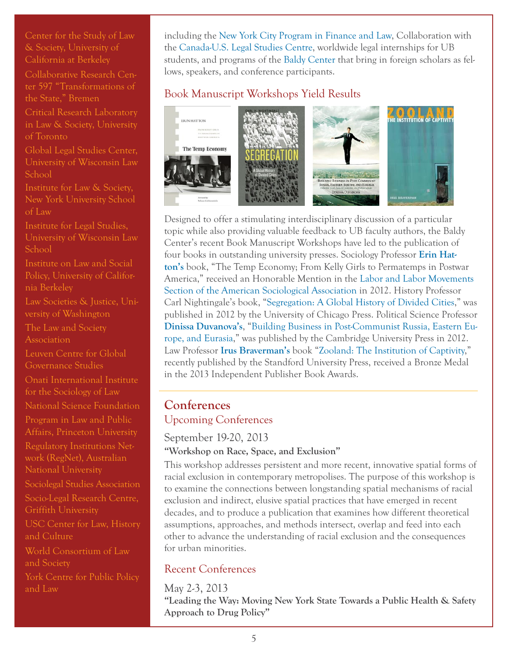[Center for the Study of Law](http://www.law.berkeley.edu/csls.htm)  [& Society, University of](http://www.law.berkeley.edu/csls.htm)  [California at Berkeley](http://www.law.berkeley.edu/csls.htm)

[Collaborative Research Cen](http://www.sfb597.uni-bremen.de/)[ter 597 "Transformations of](http://www.sfb597.uni-bremen.de/)  [the State," Bremen](http://www.sfb597.uni-bremen.de/)

[Critical Research Laboratory](http://www.criticalresearchlab.org/crl/home)  [in Law & Society, University](http://www.criticalresearchlab.org/crl/home)  [of Toronto](http://www.criticalresearchlab.org/crl/home)

[Global Legal Studies Center,](http://www.law.wisc.edu/gls/)  [University of Wisconsin Law](http://www.law.wisc.edu/gls/)  [School](http://www.law.wisc.edu/gls/)

[Institute for Law & Society,](http://www1.law.nyu.edu/ils/)  [New York University School](http://www1.law.nyu.edu/ils/)  [of Law](http://www1.law.nyu.edu/ils/)

[Institute for Legal Studies,](http://law.wisc.edu/ils/)  [University of Wisconsin Law](http://law.wisc.edu/ils/)  [School](http://law.wisc.edu/ils/)

[Institute on Law and Social](http://www.law.berkeley.edu/ewi.htm)  [Policy, University of Califor](http://www.law.berkeley.edu/ewi.htm)[nia Berkeley](http://www.law.berkeley.edu/ewi.htm)

[Law Societies & Justice, Uni](http://depts.washington.edu/lsjweb/)[versity of Washington](http://depts.washington.edu/lsjweb/)

[The Law and Society](http://www.lawandsociety.org/)  **[Association](http://www.lawandsociety.org/)** 

[Leuven Centre for Global](http://ghum.kuleuven.be/ggs)  [Governance Studies](http://ghum.kuleuven.be/ggs)

[Onati International Institute](http://%20http//www.iisj.net/english.asp)  [for the Sociology of Law](http://%20http//www.iisj.net/english.asp)

[National Science Foundation](http://www.nsf.gov/funding/pgm_summ.jsp?pims_id=504727)

[Program in Law and Public](http://lapa.princeton.edu/)  [Affairs, Princeton University](http://lapa.princeton.edu/)

[Regulatory Institutions Net](http://regnet.anu.edu.au/)[work \(RegNet\), Australian](http://regnet.anu.edu.au/)  [National University](http://regnet.anu.edu.au/)

[Sociolegal Studies Association](http://www.slsa.ac.uk/)

[Socio-Legal Research Centre,](http://www.griffith.edu.au/criminology-law/socio-legal-research-centre)  [Griffith University](http://www.griffith.edu.au/criminology-law/socio-legal-research-centre)

[USC Center for Law, History](http://lawweb.usc.edu/centers/clhc/home.htm)  [and Culture](http://lawweb.usc.edu/centers/clhc/home.htm)

[World Consortium of Law](http://lawandsocietyworld.org/)  [and Society](http://lawandsocietyworld.org/)

[York Centre for Public Policy](http://ycppl.info.yorku.ca/)  [and Law](http://ycppl.info.yorku.ca/)

including the [New York City Program in Finance and Law](http://www.law.buffalo.edu/beyond/nyc.html), Collaboration with the [Canada-U.S. Legal Studies Centre,](http://www.law.buffalo.edu/beyond/centers.html) worldwide legal internships for UB students, and programs of the [Baldy Center](http://www.law.buffalo.edu/beyond/centers.html) that bring in foreign scholars as fellows, speakers, and conference participants.

# Book Manuscript Workshops Yield Results



Designed to offer a stimulating interdisciplinary discussion of a particular topic while also providing valuable feedback to UB faculty authors, the Baldy Center's recent Book Manuscript Workshops have led to the publication of four books in outstanding university presses. Sociology Professor **[Erin Hat](http://sociology.buffalo.edu/faculty_staff/faculty/hatton/)[ton's](http://sociology.buffalo.edu/faculty_staff/faculty/hatton/)** book, "The Temp Economy; From Kelly Girls to Permatemps in Postwar America," received an Honorable Mention in the [Labor and Labor Movements](http://www.asanet.org/sections/labor.cfm)  [Section of the American Sociological Association](http://www.asanet.org/sections/labor.cfm) in 2012. History Professor Carl Nightingale's book, "[Segregation: A Global History of Divided Cities,](http://www.amazon.com/Segregation-History-Divided-Historical-Studies/dp/0226580741)" was published in 2012 by the University of Chicago Press. Political Science Professor **[Dinissa Duvanova's](http://www.polsci.buffalo.edu/faculty_staff/duvanova/)**, ["Building Business in Post-Communist Russia, Eastern Eu](buffalo.us6.list-manage.com/track/click?u=9c469ba21bc97eb026344d1d7&id=0c0ac2869d&e=4ce4c6afb2)[rope, and Eurasia,](buffalo.us6.list-manage.com/track/click?u=9c469ba21bc97eb026344d1d7&id=0c0ac2869d&e=4ce4c6afb2)" was published by the Cambridge University Press in 2012. Law Professor **[Irus Braverman's](http://www.acsu.buffalo.edu/~irusb/)** book ["Zooland: The Institution of Captivity](http://www.amazon.com/Zooland-Institution-Captivity-Cultural-Lives/dp/0804783586)," recently published by the Standford University Press, received a Bronze Medal in the 2013 Independent Publisher Book Awards.

### **Conferences**  Upcoming Conferences

# September 19-20, 2013

### **"Workshop on Race, Space, and Exclusion"**

This workshop addresses persistent and more recent, innovative spatial forms of racial exclusion in contemporary metropolises. The purpose of this workshop is to examine the connections between longstanding spatial mechanisms of racial exclusion and indirect, elusive spatial practices that have emerged in recent decades, and to produce a publication that examines how different theoretical assumptions, approaches, and methods intersect, overlap and feed into each other to advance the understanding of racial exclusion and the consequences for urban minorities.

# Recent Conferences

May 2-3, 2013 **"Leading the Way: Moving New York State Towards a Public Health & Safety Approach to Drug Policy"**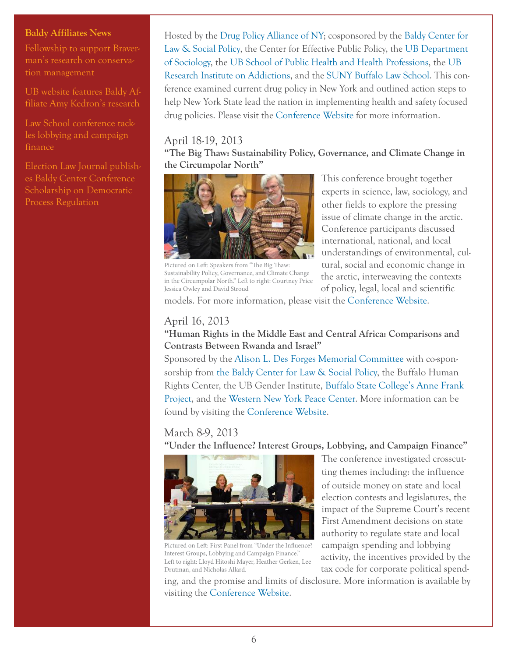#### **Baldy Affiliates News**

[Fellowship to support Braver](http://www.buffalo.edu/ubreporter/profiles.host.html/content/shared/university/news/ub-reporter-articles/stories/2013/braverman_fellowships.detail.html)[man's research on conserva](http://www.buffalo.edu/ubreporter/profiles.host.html/content/shared/university/news/ub-reporter-articles/stories/2013/braverman_fellowships.detail.html)[tion management](http://www.buffalo.edu/ubreporter/profiles.host.html/content/shared/university/news/ub-reporter-articles/stories/2013/braverman_fellowships.detail.html)

[UB website features Baldy Af](http://www.buffalo.edu/home/feature_story/localism.html)[filiate Amy Kedron's research](http://www.buffalo.edu/home/feature_story/localism.html)

[Law School conference tack](http://www.law.buffalo.edu/features/0313-Lobbying.html)[les lobbying and campaign](http://www.law.buffalo.edu/features/0313-Lobbying.html)  [finance](http://www.law.buffalo.edu/features/0313-Lobbying.html)

[Election Law Journal publish](http://www.law.buffalo.edu/news/archives.host.html/content/shared/law/articles/archives/1301-ElectionLaw.detail.html)[es Baldy Center Conference](http://www.law.buffalo.edu/news/archives.host.html/content/shared/law/articles/archives/1301-ElectionLaw.detail.html)  [Scholarship on Democratic](http://www.law.buffalo.edu/news/archives.host.html/content/shared/law/articles/archives/1301-ElectionLaw.detail.html)  [Process Regulation](http://www.law.buffalo.edu/news/archives.host.html/content/shared/law/articles/archives/1301-ElectionLaw.detail.html) 

Hosted by the [Drug Policy Alliance of NY;](http://www.drugpolicy.org/) cosponsored by the [Baldy Center for](http://baldycenter.info/cgi-bin/navigation.cgi)  [Law & Social Policy](http://baldycenter.info/cgi-bin/navigation.cgi), the Center for Effective Public Policy, the [UB Department](http://sociology.buffalo.edu/)  [of Sociology,](http://sociology.buffalo.edu/) the [UB School of Public Health and Health Professions,](http://sphhp.buffalo.edu/) the [UB](http://www.ria.buffalo.edu/)  [Research Institute on Addictions,](http://www.ria.buffalo.edu/) and the [SUNY Buffalo Law School.](http://www.law.buffalo.edu/) This conference examined current drug policy in New York and outlined action steps to help New York State lead the nation in implementing health and safety focused drug policies. Please visit the [Conference Website](http://www.drugpolicy.org/events/leading-way-toward-public-health-safety-approach-drug-policy-new-york) for more information.

#### April 18-19, 2013

**"The Big Thaw: Sustainability Policy, Governance, and Climate Change in the Circumpolar North"**



Pictured on Left: Speakers from "The Big Thaw: Sustainability Policy, Governance, and Climate Change in the Circumpolar North." Left to right: Courtney Price Jessica Owley and David Stroud

This conference brought together experts in science, law, sociology, and other fields to explore the pressing issue of climate change in the arctic. Conference participants discussed international, national, and local understandings of environmental, cultural, social and economic change in the arctic, interweaving the contexts of policy, legal, local and scientific

models. For more information, please visit the [Conference Website.](http://baldycenter.info/conferences/big-thaw/index.html)

### April 16, 2013

### **"Human Rights in the Middle East and Central Africa: Comparisons and Contrasts Between Rwanda and Israel"**

Sponsored by the [Alison L. Des Forges Memorial Committee](http://www.buffalo.edu/calendar/calendar?action=describe&which=9F396A5C-9FD7-11E2-9218-8761118F7482) with co-sponsorship from [the Baldy Center for Law & Social Policy,](http://baldycenter.info/cgi-bin/navigation.cgi) the Buffalo Human Rights Center, the UB Gender Institute, [Buffalo State College's Anne Frank](http://www.theannefrankproject.com/)  [Project,](http://www.theannefrankproject.com/) and the [Western New York Peace Center](http://wnypeace.org/new/). More information can be found by visiting the [Conference Website.](http://www.buffalo.edu/calendar/calendar?action=describe&which=9F396A5C-9FD7-11E2-9218-8761118F7482)

### March 8-9, 2013

**"Under the Influence? Interest Groups, Lobbying, and Campaign Finance"**



Pictured on Left: First Panel from "Under the Influence? Interest Groups, Lobbying and Campaign Finance." Left to right: Lloyd Hitoshi Mayer, Heather Gerken, Lee Drutman, and Nicholas Allard.

The conference investigated crosscutting themes including: the influence of outside money on state and local election contests and legislatures, the impact of the Supreme Court's recent First Amendment decisions on state authority to regulate state and local campaign spending and lobbying activity, the incentives provided by the tax code for corporate political spend-

ing, and the promise and limits of disclosure. More information is available by visiting the [Conference Website.](http://baldycenter.info/conferences/lobbying-and-campaign/)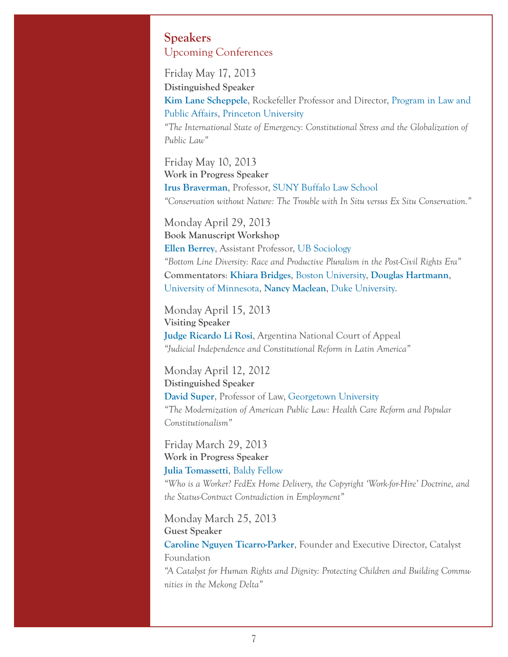### **Speakers** Upcoming Conferences

Friday May 17, 2013 **Distinguished Speaker**

**[Kim Lane Scheppele](http://wws.princeton.edu/people/display_person.xml?netid=kimlane&all=yes)**, Rockefeller Professor and Director, [Program in Law and](http://lapa.princeton.edu/index.php)  [Public Affairs](http://lapa.princeton.edu/index.php), [Princeton University](http://www.princeton.edu/main/)

*"The International State of Emergency: Constitutional Stress and the Globalization of Public Law"*

Friday May 10, 2013 **Work in Progress Speaker [Irus Braverman](http://www.acsu.buffalo.edu/~irusb/)**, Professor, [SUNY Buffalo Law School](http://www.law.buffalo.edu/) *"Conservation without Nature: The Trouble with In Situ versus Ex Situ Conservation."*

Monday April 29, 2013 **Book Manuscript Workshop [Ellen Berrey](http://sociology.buffalo.edu/faculty_staff/faculty/berrey/)**, Assistant Professor, [UB Sociology](http://sociology.buffalo.edu/) *"Bottom Line Diversity: Race and Productive Pluralism in the Post-Civil Rights Era"* **Commentators**: **[Khiara Bridges](http://www.bu.edu/anthrop/people/faculty/k-bridges/)**, [Boston University](http://www.bu.edu/), **[Douglas Hartmann](http://www.soc.umn.edu/people/hartmann_d.html)**, [University of Minnesota](http://www1.umn.edu/twincities/index.html), **[Nancy Maclean](http://www.nancymaclean.com/)**, [Duke University.](http://duke.edu/)

Monday April 15, 2013 **Visiting Speaker [Judge Ricardo Li Rosi](http://law.duke.edu/wintersession/faculty/)**, Argentina National Court of Appeal *"Judicial Independence and Constitutional Reform in Latin America"*

Monday April 12, 2012 **Distinguished Speaker [David Super](http://law.duke.edu/wintersession/faculty/)**, Professor of Law, [Georgetown University](http://www.georgetown.edu/) *"The Modernization of American Public Law: Health Care Reform and Popular Constitutionalism"*

Friday March 29, 2013 **Work in Progress Speaker [Julia Tomassetti](http://baldycenter.info/cgi-bin/navigation.cgi?page_id=83&parent_id=26)**, [Baldy Fellow](http://baldycenter.info/cgi-bin/navigation.cgi)

*"Who is a Worker? FedEx Home Delivery, the Copyright 'Work-for-Hire' Doctrine, and the Status-Contract Contradiction in Employment"*

Monday March 25, 2013 **Guest Speaker [Caroline Nguyen Ticarro-Parker](http://www.catalystfoundation.org/our-founder)**, Founder and Executive Director, Catalyst Foundation

*"A Catalyst for Human Rights and Dignity: Protecting Children and Building Communities in the Mekong Delta"*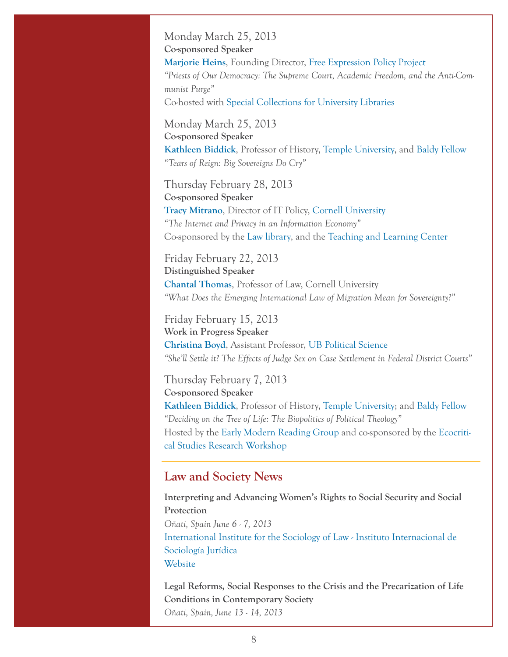Monday March 25, 2013 **Co-sponsored Speaker [Marjorie Heins](http://www.fepproject.org/fepp/heinsbio.html)**, Founding Director, [Free Expression Policy Project](http://www.fepproject.org/) *"Priests of Our Democracy: The Supreme Court, Academic Freedom, and the Anti-Communist Purge"* Co-hosted with [Special Collections for University Libraries](http://library.buffalo.edu/specialcollections/)

Monday March 25, 2013 **Co-sponsored Speaker [Kathleen Biddick](http://baldycenter.info/cgi-bin/navigation.cgi?page_id=87&parent_id=26)**, Professor of History, [Temple University](http://www.temple.edu/), and [Baldy Fellow](http://baldycenter.info/cgi-bin/navigation.cgi) *"Tears of Reign: Big Sovereigns Do Cry"*

Thursday February 28, 2013 **Co-sponsored Speaker [Tracy Mitrano](http://www.it.cornell.edu/policies/Mitrano.cfm)**, Director of IT Policy, [Cornell University](http://www.cornell.edu/) *"The Internet and Privacy in an Information Economy"* Co-sponsored by the [Law library](http://law.lib.buffalo.edu/), and the [Teaching and Learning Center](http://ubtlc.buffalo.edu/)

Friday February 22, 2013 **Distinguished Speaker [Chantal Thomas](http://www.lawschool.cornell.edu/faculty/bio.cfm?id=230)**, Professor of Law, [Cornell University](http://www.lawschool.cornell.edu/) *"What Does the Emerging International Law of Migration Mean for Sovereignty?"*

Friday February 15, 2013 **Work in Progress Speaker [Christina Boyd](http://www.polsci.buffalo.edu/faculty_staff/boyd/)**, Assistant Professor, [UB Political Science](http://www.polsci.buffalo.edu/) *"She'll Settle it? The Effects of Judge Sex on Case Settlement in Federal District Courts"*

Thursday February 7, 2013 **Co-sponsored Speaker [Kathleen Biddick](http://baldycenter.info/cgi-bin/navigation.cgi?page_id=87&parent_id=26)**, Professor of History, [Temple University;](http://www.temple.edu/) and [Baldy Fellow](http://baldycenter.info/cgi-bin/navigation.cgi) *"Deciding on the Tree of Life: The Biopolitics of Political Theology"* Hosted by the [Early Modern Reading Group](http://www.humanitiesinstitute.buffalo.edu/initiatives/WorkshopEarlyModern.shtml) and co-sponsored by the [Ecocriti](http://www.humanitiesinstitute.buffalo.edu/initiatives/WorkshopEcocritical.shtml)[cal Studies Research Workshop](http://www.humanitiesinstitute.buffalo.edu/initiatives/WorkshopEcocritical.shtml)

### **Law and Society News**

**Interpreting and Advancing Women's Rights to Social Security and Social Protection** *Oñati, Spain June 6 - 7, 2013* [International Institute for the Sociology of Law - Instituto Internacional de](http://www.iisj.net/english.asp)  [Sociología Jurídica](http://www.iisj.net/english.asp) [Website](http://lawandsocietyworld.org/content/interpreting-and-advancing-women%E2%80%99s-rights-social-security-and-social-protection)

**Legal Reforms, Social Responses to the Crisis and the Precarization of Life Conditions in Contemporary Society** *Oñati, Spain, June 13 - 14, 2013*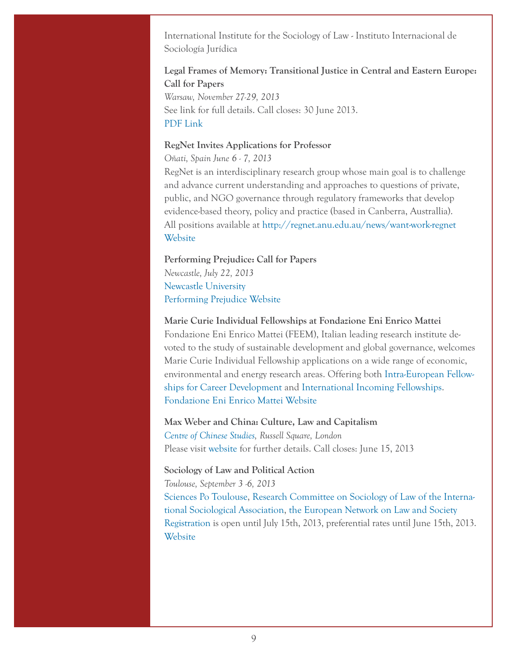International Institute for the Sociology of Law - Instituto Internacional de Sociología Jurídica

# **Legal Frames of Memory: Transitional Justice in Central and Eastern Europe: Call for Papers**

*Warsaw, November 27-29, 2013* See link for full details. Call closes: 30 June 2013. [PDF Link](http://www.slsa.ac.uk/images/2013spring/CfP_Legal%20frames%20of%20memory.pdf)

#### **RegNet Invites Applications for Professor**

*Oñati, Spain June 6 - 7, 2013* RegNet is an interdisciplinary research group whose main goal is to challenge and advance current understanding and approaches to questions of private, public, and NGO governance through regulatory frameworks that develop evidence-based theory, policy and practice (based in Canberra, Australlia). All positions available at<http://regnet.anu.edu.au/news/want-work-regnet> [Website](http://regnet.anu.edu.au/)

#### **Performing Prejudice: Call for Papers** *Newcastle, July 22, 2013*

[Newcastle University](http://www.ncl.ac.uk/) [Performing Prejudice Website](http://iaspm-dach.net/2013/05/13/cfp-performing-prejudice-newcastle-university/)

#### **Marie Curie Individual Fellowships at Fondazione Eni Enrico Mattei**

Fondazione Eni Enrico Mattei (FEEM), Italian leading research institute devoted to the study of sustainable development and global governance, welcomes Marie Curie Individual Fellowship applications on a wide range of economic, environmental and energy research areas. Offering both [Intra-European Fellow](http://ec.europa.eu/research/participants/portal/page/call_FP7;efp7_SESSION_ID=HBjmR1rG2CQCKJfgdGkxgmjTBTBvT5db1vwBp2pSGBthxGpGqnRV!892770258?callIdentifier=FP7-PEOPLE-2013-IEF&specificProgram=PEOPLE#wlp_call_FP7)[ships for Career Development](http://ec.europa.eu/research/participants/portal/page/call_FP7;efp7_SESSION_ID=HBjmR1rG2CQCKJfgdGkxgmjTBTBvT5db1vwBp2pSGBthxGpGqnRV!892770258?callIdentifier=FP7-PEOPLE-2013-IEF&specificProgram=PEOPLE#wlp_call_FP7) and [International Incoming Fellowships.](http://ec.europa.eu/research/participants/portal/page/call_FP7?callIdentifier=FP7-PEOPLE-2013-IIF&specificProgram=PEOPLE#wlp_call_FP7) [Fondazione Eni Enrico Mattei Website](http://www.feem.it/getpage.aspx?id=62)

#### **Max Weber and China: Culture, Law and Capitalism** *[Centre of Chinese Studies](http://www.soas.ac.uk/chinesestudies/), Russell Square, London*

Please visit [website](http://www.soas.ac.uk/max-weber-and-china/) for further details. Call closes: June 15, 2013

#### **Sociology of Law and Political Action**

*Toulouse, September 3 -6, 2013*

[Sciences Po Toulouse](http://www.sciencespo-toulouse.fr/), [Research Committee on Sociology of Law of the Interna](http://www.isa-sociology.org/rc12.htm)[tional Sociological Association](http://www.isa-sociology.org/rc12.htm), [the European Network on Law and Society](http://www.reds.msh-paris.fr/anglais/accueil.htm) [Registration](http://congressadmin.sciencespo-toulouse.fr/en/accueilinfo) is open until July 15th, 2013, preferential rates until June 15th, 2013. [Website](http://2013rcslcongress.sciencespo-toulouse.fr/welcome)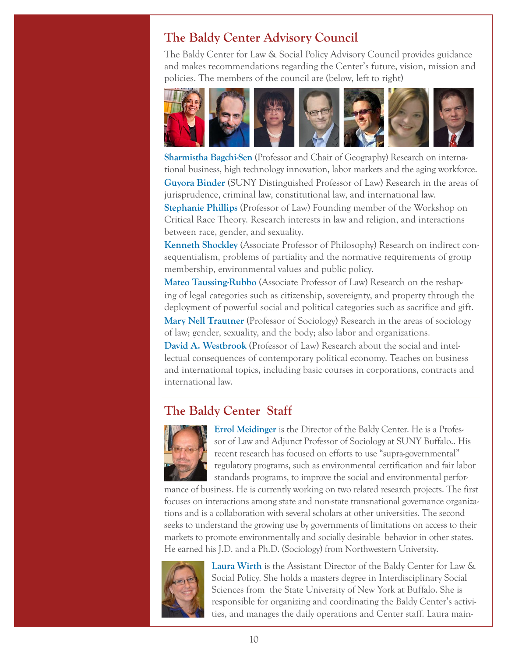# **The Baldy Center Advisory Council**

The Baldy Center for Law & Social Policy Advisory Council provides guidance and makes recommendations regarding the Center's future, vision, mission and policies. The members of the council are (below, left to right)



**[Sharmistha Bagchi-Sen](http://www.acsu.buffalo.edu/~geosbs/)** (Professor and Chair of Geography) Research on international business, high technology innovation, labor markets and the aging workforce.

**[Guyora Binder](http://www.law.buffalo.edu/faculty/facultyDirectory/BinderGuyora.html)** (SUNY Distinguished Professor of Law) Research in the areas of jurisprudence, criminal law, constitutional law, and international law.

**[Stephanie Phillips](http://www.law.buffalo.edu/faculty/facultyDirectory/PhillipsStephanie.html)** (Professor of Law) Founding member of the Workshop on Critical Race Theory. Research interests in law and religion, and interactions between race, gender, and sexuality.

**[Kenneth Shockley](http://philosophy.buffalo.edu/people/faculty/shockley/)** (Associate Professor of Philosophy) Research on indirect consequentialism, problems of partiality and the normative requirements of group membership, environmental values and public policy.

**[Mateo Taussing-Rubbo](http://www.law.buffalo.edu/faculty/facultyDirectory/TaussigRubboMateo.html)** (Associate Professor of Law) Research on the reshaping of legal categories such as citizenship, sovereignty, and property through the deployment of powerful social and political categories such as sacrifice and gift. **[Mary Nell Trautner](http://sociology.buffalo.edu/faculty_staff/faculty/trautner/)** (Professor of Sociology) Research in the areas of sociology of law; gender, sexuality, and the body; also labor and organizations. **[David A. Westbrook](http://www.law.buffalo.edu/faculty/facultyDirectory/WestbrookDavid.html)** (Professor of Law) Research about the social and intellectual consequences of contemporary political economy. Teaches on business and international topics, including basic courses in corporations, contracts and international law.

# **The Baldy Center Staff**



**[Errol Meidinger](http://web2.law.buffalo.edu/faculty/meidinger/index.htm)** is the Director of the Baldy Center. He is a Professor of Law and Adjunct Professor of Sociology at SUNY Buffalo.. His recent research has focused on efforts to use "supra-governmental" regulatory programs, such as environmental certification and fair labor standards programs, to improve the social and environmental perfor-

mance of business. He is currently working on two related research projects. The first focuses on interactions among state and non-state transnational governance organizations and is a collaboration with several scholars at other universities. The second seeks to understand the growing use by governments of limitations on access to their markets to promote environmentally and socially desirable behavior in other states. He earned his J.D. and a Ph.D. (Sociology) from Northwestern University.



**[Laura Wirth](http://www.buffalo.edu/departments/details?id=1)** is the Assistant Director of the Baldy Center for Law & Social Policy. She holds a masters degree in Interdisciplinary Social Sciences from the State University of New York at Buffalo. She is responsible for organizing and coordinating the Baldy Center's activities, and manages the daily operations and Center staff. Laura main